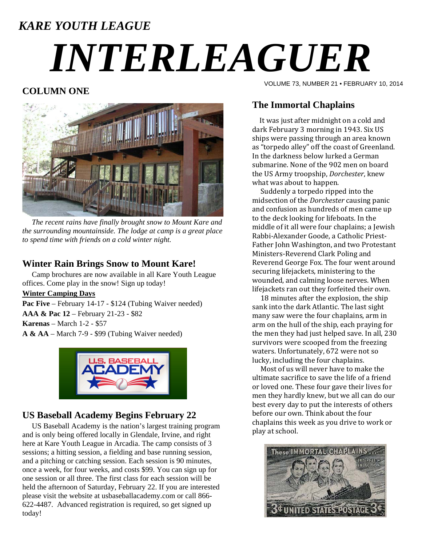# *KARE YOUTH LEAGUE INTERLEAGUER*

# **COLUMN ONE**



 *The recent rains have finally brought snow to Mount Kare and the surrounding mountainside. The lodge at camp is a great place to spend time with friends on a cold winter night.* 

### **Winter Rain Brings Snow to Mount Kare!**

 Camp brochures are now available in all Kare Youth League offices. Come play in the snow! Sign up today!

#### **Winter Camping Days**

Pac Five – February 14-17 - \$124 (Tubing Waiver needed) **AAA & Pac 12** – February 21-23 - \$82 **Karenas** – March 1-2 - \$57 **A & AA** – March 7-9 - \$99 (Tubing Waiver needed)



## **US Baseball Academy Begins February 22**

 US Baseball Academy is the nation's largest training program and is only being offered locally in Glendale, Irvine, and right here at Kare Youth League in Arcadia. The camp consists of 3 sessions; a hitting session, a fielding and base running session, and a pitching or catching session. Each session is 90 minutes, once a week, for four weeks, and costs \$99. You can sign up for one session or all three. The first class for each session will be held the afternoon of Saturday, February 22. If you are interested please visit the website at usbaseballacademy.com or call 866- 622-4487. Advanced registration is required, so get signed up today!

VOLUME 73, NUMBER 21 • FEBRUARY 10, 2014

# **The Immortal Chaplains**

It was just after midnight on a cold and dark February 3 morning in 1943. Six US ships were passing through an area known as "torpedo alley" off the coast of Greenland. In the darkness below lurked a German submarine. None of the 902 men on board the US Army troopship, *Dorchester*, knew what was about to happen.

Suddenly a torpedo ripped into the midsection of the *Dorchester* causing panic and confusion as hundreds of men came up to the deck looking for lifeboats. In the middle of it all were four chaplains; a Jewish Rabbi-Alexander Goode, a Catholic Priest-Father John Washington, and two Protestant Ministers-Reverend Clark Poling and Reverend George Fox. The four went around securing lifejackets, ministering to the wounded, and calming loose nerves. When lifejackets ran out they forfeited their own.

18 minutes after the explosion, the ship sank into the dark Atlantic. The last sight many saw were the four chaplains, arm in arm on the hull of the ship, each praying for the men they had just helped save. In all, 230 survivors were scooped from the freezing waters. Unfortunately, 672 were not so lucky, including the four chaplains.

Most of us will never have to make the ultimate sacrifice to save the life of a friend or loved one. These four gave their lives for men they hardly knew, but we all can do our best every day to put the interests of others before our own. Think about the four chaplains this week as you drive to work or play at school.